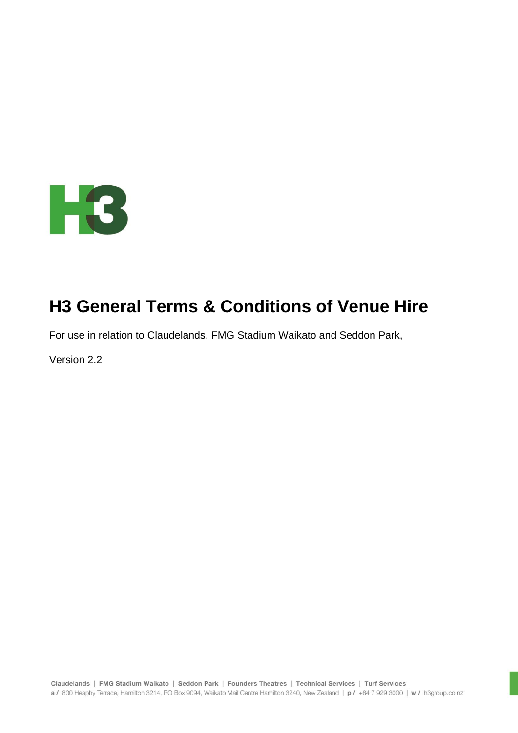

# **H3 General Terms & Conditions of Venue Hire**

For use in relation to Claudelands, FMG Stadium Waikato and Seddon Park,

Version 2.2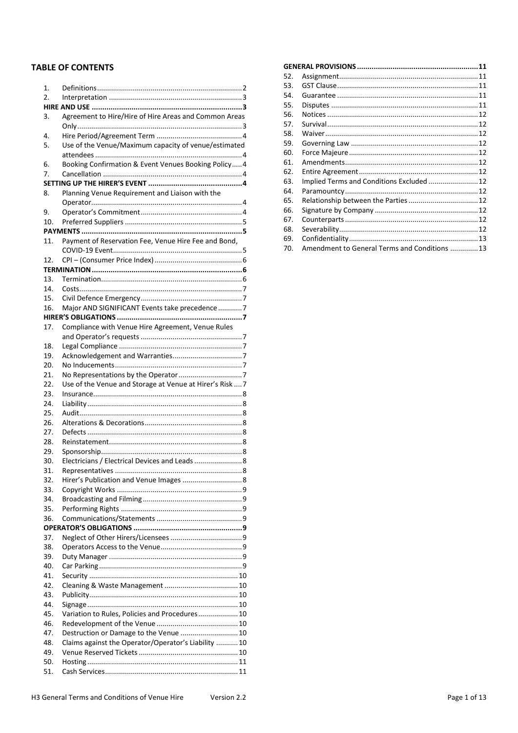# **TABLE OF CONTENTS**

| 1.         |                                                          |  |  |
|------------|----------------------------------------------------------|--|--|
| 2.         |                                                          |  |  |
|            |                                                          |  |  |
| 3.         | Agreement to Hire/Hire of Hire Areas and Common Areas    |  |  |
|            |                                                          |  |  |
| 4.         |                                                          |  |  |
| 5.         | Use of the Venue/Maximum capacity of venue/estimated     |  |  |
|            |                                                          |  |  |
| 6.         | Booking Confirmation & Event Venues Booking Policy 4     |  |  |
| 7.         |                                                          |  |  |
|            |                                                          |  |  |
| 8.         | Planning Venue Requirement and Liaison with the          |  |  |
| 9.         |                                                          |  |  |
| 10.        |                                                          |  |  |
|            |                                                          |  |  |
| 11.        | Payment of Reservation Fee, Venue Hire Fee and Bond,     |  |  |
|            |                                                          |  |  |
| 12.        |                                                          |  |  |
|            |                                                          |  |  |
| 13.        |                                                          |  |  |
| 14.        |                                                          |  |  |
| 15.        |                                                          |  |  |
| 16.        | Major AND SIGNIFICANT Events take precedence 7           |  |  |
|            |                                                          |  |  |
| 17.        | Compliance with Venue Hire Agreement, Venue Rules        |  |  |
|            |                                                          |  |  |
| 18.        |                                                          |  |  |
| 19.        |                                                          |  |  |
| 20.        |                                                          |  |  |
| 21.        |                                                          |  |  |
| 22.        | Use of the Venue and Storage at Venue at Hirer's Risk  7 |  |  |
| 23.        |                                                          |  |  |
| 24.        |                                                          |  |  |
| 25.        |                                                          |  |  |
| 26.<br>27. |                                                          |  |  |
| 28.        |                                                          |  |  |
| 29.        |                                                          |  |  |
| 30.        | Electricians / Electrical Devices and Leads  8           |  |  |
| 31.        | 8                                                        |  |  |
| 32.        |                                                          |  |  |
| 33.        |                                                          |  |  |
| 34.        |                                                          |  |  |
| 35.        |                                                          |  |  |
| 36.        |                                                          |  |  |
|            |                                                          |  |  |
| 37.        |                                                          |  |  |
| 38.        |                                                          |  |  |
| 39.        |                                                          |  |  |
| 40.        |                                                          |  |  |
| 41.        |                                                          |  |  |
| 42.        |                                                          |  |  |
| 43.        |                                                          |  |  |
| 44.        |                                                          |  |  |
| 45.        | Variation to Rules, Policies and Procedures 10           |  |  |
| 46.        |                                                          |  |  |
| 47.        | Destruction or Damage to the Venue  10                   |  |  |
| 48.        | Claims against the Operator/Operator's Liability  10     |  |  |
| 49.        |                                                          |  |  |
| 50.        |                                                          |  |  |
| 51.        |                                                          |  |  |
|            |                                                          |  |  |

| 52. |                                              |  |
|-----|----------------------------------------------|--|
| 53. |                                              |  |
| 54. |                                              |  |
| 55. |                                              |  |
| 56. |                                              |  |
| 57. |                                              |  |
| 58. |                                              |  |
| 59. |                                              |  |
| 60. |                                              |  |
| 61. |                                              |  |
| 62. |                                              |  |
| 63. |                                              |  |
| 64. |                                              |  |
| 65. |                                              |  |
| 66. |                                              |  |
| 67. |                                              |  |
| 68. |                                              |  |
| 69. |                                              |  |
| 70. | Amendment to General Terms and Conditions 13 |  |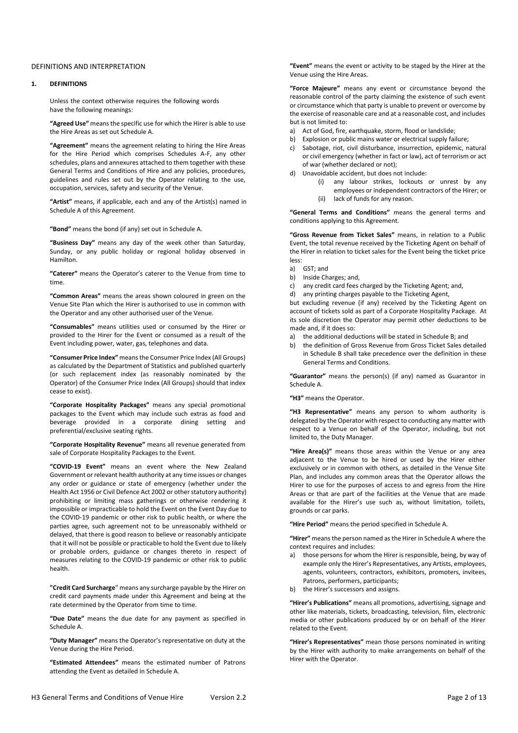## DEFINITIONS AND INTERPRETATION

## **1. DEFINITIONS**

Unless the context otherwise requires the following words have the following meanings:

**"Agreed Use"** means the specific use for which the Hirer is able to use the Hire Areas as set out Schedule A.

**"Agreement"** means the agreement relating to hiring the Hire Areas for the Hire Period which comprises Schedules A-F, any other schedules, plans and annexures attached to them together with these General Terms and Conditions of Hire and any policies, procedures, guidelines and rules set out by the Operator relating to the use, occupation, services, safety and security of the Venue.

**"Artist"** means, if applicable, each and any of the Artist(s) named in Schedule A of this Agreement.

**"Bond"** means the bond (if any) set out in Schedule A.

**"Business Day"** means any day of the week other than Saturday, Sunday, or any public holiday or regional holiday observed in Hamilton.

**"Caterer"** means the Operator's caterer to the Venue from time to time.

**"Common Areas"** means the areas shown coloured in green on the Venue Site Plan which the Hirer is authorised to use in common with the Operator and any other authorised user of the Venue.

**"Consumables"** means utilities used or consumed by the Hirer or provided to the Hirer for the Event or consumed as a result of the Event including power, water, gas, telephones and data.

**"Consumer Price Index"** means the Consumer Price Index (All Groups) as calculated by the Department of Statistics and published quarterly (or such replacement index (as reasonably nominated by the Operator) of the Consumer Price Index (All Groups) should that index cease to exist).

**"Corporate Hospitality Packages"** means any special promotional packages to the Event which may include such extras as food and beverage provided in a corporate dining setting and preferential/exclusive seating rights.

**"Corporate Hospitality Revenue"** means all revenue generated from sale of Corporate Hospitality Packages to the Event.

**"COVID-19 Event"** means an event where the New Zealand Government or relevant health authority at any time issues or changes any order or guidance or state of emergency (whether under the Health Act 1956 or Civil Defence Act 2002 or other statutory authority) prohibiting or limiting mass gatherings or otherwise rendering it impossible or impracticable to hold the Event on the Event Day due to the COVID-19 pandemic or other risk to public health, or where the parties agree, such agreement not to be unreasonably withheld or delayed, that there is good reason to believe or reasonably anticipate that it will not be possible or practicable to hold the Event due to likely or probable orders, guidance or changes thereto in respect of measures relating to the COVID-19 pandemic or other risk to public health.

**"Credit Card Surcharge**" means any surcharge payable by the Hirer on credit card payments made under this Agreement and being at the rate determined by the Operator from time to time.

**"Due Date"** means the due date for any payment as specified in Schedule A.

**"Duty Manager"** means the Operator's representative on duty at the Venue during the Hire Period.

**"Estimated Attendees"** means the estimated number of Patrons attending the Event as detailed in Schedule A.

**"Event"** means the event or activity to be staged by the Hirer at the Venue using the Hire Areas.

**"Force Majeure"** means any event or circumstance beyond the reasonable control of the party claiming the existence of such event or circumstance which that party is unable to prevent or overcome by the exercise of reasonable care and at a reasonable cost, and includes but is not limited to:

- a) Act of God, fire, earthquake, storm, flood or landslide;
- b) Explosion or public mains water or electrical supply failure;
- c) Sabotage, riot, civil disturbance, insurrection, epidemic, natural or civil emergency (whether in fact or law), act of terrorism or act of war (whether declared or not);
- d) Unavoidable accident, but does not include:
	- (i) any labour strikes, lockouts or unrest by any employees or independent contractors of the Hirer; or
	- (ii) lack of funds for any reason.

**"General Terms and Conditions"** means the general terms and conditions applying to this Agreement.

**"Gross Revenue from Ticket Sales"** means, in relation to a Public Event, the total revenue received by the Ticketing Agent on behalf of the Hirer in relation to ticket sales for the Event being the ticket price less:

- a) GST; and
- b) Inside Charges; and,
- c) any credit card fees charged by the Ticketing Agent; and,
- d) any printing charges payable to the Ticketing Agent,

but excluding revenue (if any) received by the Ticketing Agent on account of tickets sold as part of a Corporate Hospitality Package. At its sole discretion the Operator may permit other deductions to be made and, if it does so:

- a) the additional deductions will be stated in Schedule B; and
- b) the definition of Gross Revenue from Gross Ticket Sales detailed in Schedule B shall take precedence over the definition in these General Terms and Conditions.

**"Guarantor"** means the person(s) (if any) named as Guarantor in Schedule A.

**"H3"** means the Operator.

**"H3 Representative"** means any person to whom authority is delegated by the Operator with respect to conducting any matter with respect to a Venue on behalf of the Operator, including, but not limited to, the Duty Manager.

**"Hire Area(s)"** means those areas within the Venue or any area adjacent to the Venue to be hired or used by the Hirer either exclusively or in common with others, as detailed in the Venue Site Plan, and includes any common areas that the Operator allows the Hirer to use for the purposes of access to and egress from the Hire Areas or that are part of the facilities at the Venue that are made available for the Hirer's use such as, without limitation, toilets, grounds or car parks.

**"Hire Period"** means the period specified in Schedule A.

**"Hirer"** means the person named as the Hirer in Schedule A where the context requires and includes:

- a) those persons for whom the Hirer is responsible, being, by way of example only the Hirer's Representatives, any Artists, employees, agents, volunteers, contractors, exhibitors, promoters, invitees, Patrons, performers, participants;
- b) the Hirer's successors and assigns.

**"Hirer's Publications"** means all promotions, advertising, signage and other like materials, tickets, broadcasting, television, film, electronic media or other publications produced by or on behalf of the Hirer related to the Event.

**"Hirer's Representatives"** mean those persons nominated in writing by the Hirer with authority to make arrangements on behalf of the Hirer with the Operator.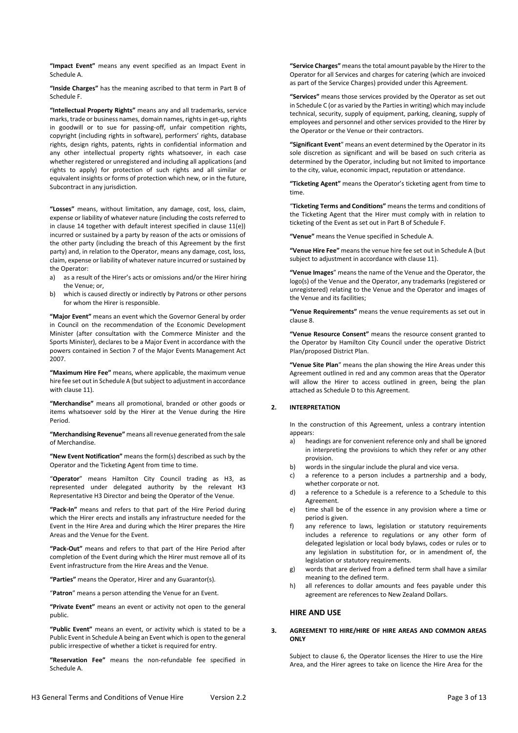**"Impact Event"** means any event specified as an Impact Event in Schedule A.

**"Inside Charges"** has the meaning ascribed to that term in Part B of Schedule F.

**"Intellectual Property Rights"** means any and all trademarks, service marks, trade or business names, domain names, rights in get-up, rights in goodwill or to sue for passing-off, unfair competition rights, copyright (including rights in software), performers' rights, database rights, design rights, patents, rights in confidential information and any other intellectual property rights whatsoever, in each case whether registered or unregistered and including all applications (and rights to apply) for protection of such rights and all similar or equivalent insights or forms of protection which new, or in the future, Subcontract in any jurisdiction.

**"Losses"** means, without limitation, any damage, cost, loss, claim, expense or liability of whatever nature (including the costs referred to in clause 14 together with default interest specified in clause 11(e)) incurred or sustained by a party by reason of the acts or omissions of the other party (including the breach of this Agreement by the first party) and, in relation to the Operator, means any damage, cost, loss, claim, expense or liability of whatever nature incurred or sustained by the Operator:

- a) as a result of the Hirer's acts or omissions and/or the Hirer hiring the Venue; or,
- b) which is caused directly or indirectly by Patrons or other persons for whom the Hirer is responsible.

**"Major Event"** means an event which the Governor General by order in Council on the recommendation of the Economic Development Minister (after consultation with the Commerce Minister and the Sports Minister), declares to be a Major Event in accordance with the powers contained in Section 7 of the Major Events Management Act 2007.

**"Maximum Hire Fee"** means, where applicable, the maximum venue hire fee set out in Schedule A (but subject to adjustment in accordance with clause 11).

**"Merchandise"** means all promotional, branded or other goods or items whatsoever sold by the Hirer at the Venue during the Hire Period.

**"Merchandising Revenue"** means all revenue generated from the sale of Merchandise.

**"New Event Notification"** means the form(s) described as such by the Operator and the Ticketing Agent from time to time.

"**Operator**" means Hamilton City Council trading as H3, as represented under delegated authority by the relevant H3 Representative H3 Director and being the Operator of the Venue.

**"Pack-In"** means and refers to that part of the Hire Period during which the Hirer erects and installs any infrastructure needed for the Event in the Hire Area and during which the Hirer prepares the Hire Areas and the Venue for the Event.

**"Pack-Out"** means and refers to that part of the Hire Period after completion of the Event during which the Hirer must remove all of its Event infrastructure from the Hire Areas and the Venue.

**"Parties"** means the Operator, Hirer and any Guarantor(s).

"**Patron**" means a person attending the Venue for an Event.

**"Private Event"** means an event or activity not open to the general public.

**"Public Event"** means an event, or activity which is stated to be a Public Event in Schedule A being an Event which is open to the general public irrespective of whether a ticket is required for entry.

**"Reservation Fee"** means the non-refundable fee specified in Schedule A.

**"Service Charges"** means the total amount payable by the Hirer to the Operator for all Services and charges for catering (which are invoiced as part of the Service Charges) provided under this Agreement.

**"Services"** means those services provided by the Operator as set out in Schedule C (or as varied by the Parties in writing) which may include technical, security, supply of equipment, parking, cleaning, supply of employees and personnel and other services provided to the Hirer by the Operator or the Venue or their contractors.

**"Significant Event**" means an event determined by the Operator in its sole discretion as significant and will be based on such criteria as determined by the Operator, including but not limited to importance to the city, value, economic impact, reputation or attendance.

**"Ticketing Agent"** means the Operator's ticketing agent from time to time.

"**Ticketing Terms and Conditions"** means the terms and conditions of the Ticketing Agent that the Hirer must comply with in relation to ticketing of the Event as set out in Part B of Schedule F.

**"Venue"** means the Venue specified in Schedule A.

**"Venue Hire Fee"** means the venue hire fee set out in Schedule A (but subject to adjustment in accordance with clause 11).

**"Venue Images**" means the name of the Venue and the Operator, the logo(s) of the Venue and the Operator, any trademarks (registered or unregistered) relating to the Venue and the Operator and images of the Venue and its facilities;

**"Venue Requirements"** means the venue requirements as set out in clause 8.

**"Venue Resource Consent"** means the resource consent granted to the Operator by Hamilton City Council under the operative District Plan/proposed District Plan.

**"Venue Site Plan**" means the plan showing the Hire Areas under this Agreement outlined in red and any common areas that the Operator will allow the Hirer to access outlined in green, being the plan attached as Schedule D to this Agreement.

## **2. INTERPRETATION**

In the construction of this Agreement, unless a contrary intention appears:

- a) headings are for convenient reference only and shall be ignored in interpreting the provisions to which they refer or any other provision.
- b) words in the singular include the plural and vice versa.
- c) a reference to a person includes a partnership and a body, whether corporate or not.
- d) a reference to a Schedule is a reference to a Schedule to this Agreement.
- e) time shall be of the essence in any provision where a time or period is given.
- f) any reference to laws, legislation or statutory requirements includes a reference to regulations or any other form of delegated legislation or local body bylaws, codes or rules or to any legislation in substitution for, or in amendment of, the legislation or statutory requirements.
- g) words that are derived from a defined term shall have a similar meaning to the defined term.
- h) all references to dollar amounts and fees payable under this agreement are references to New Zealand Dollars.

## **HIRE AND USE**

## **3. AGREEMENT TO HIRE/HIRE OF HIRE AREAS AND COMMON AREAS ONLY**

Subject to clause 6, the Operator licenses the Hirer to use the Hire Area, and the Hirer agrees to take on licence the Hire Area for the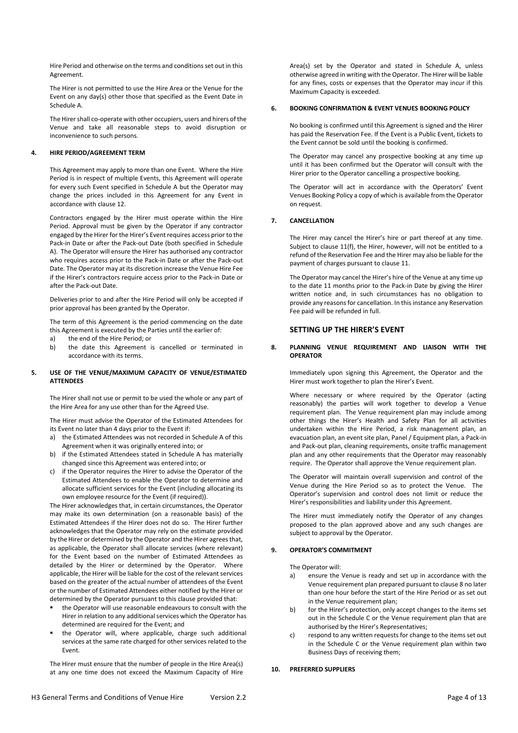Hire Period and otherwise on the terms and conditions set out in this Agreement.

The Hirer is not permitted to use the Hire Area or the Venue for the Event on any day(s) other those that specified as the Event Date in Schedule A.

The Hirer shall co-operate with other occupiers, users and hirers of the Venue and take all reasonable steps to avoid disruption or inconvenience to such persons.

### **4. HIRE PERIOD/AGREEMENT TERM**

This Agreement may apply to more than one Event. Where the Hire Period is in respect of multiple Events, this Agreement will operate for every such Event specified in Schedule A but the Operator may change the prices included in this Agreement for any Event in accordance with clause 12.

Contractors engaged by the Hirer must operate within the Hire Period. Approval must be given by the Operator if any contractor engaged by the Hirer for the Hirer's Event requires access prior to the Pack-in Date or after the Pack-out Date (both specified in Schedule A). The Operator will ensure the Hirer has authorised any contractor who requires access prior to the Pack-in Date or after the Pack-out Date. The Operator may at its discretion increase the Venue Hire Fee if the Hirer's contractors require access prior to the Pack-in Date or after the Pack-out Date.

Deliveries prior to and after the Hire Period will only be accepted if prior approval has been granted by the Operator.

The term of this Agreement is the period commencing on the date this Agreement is executed by the Parties until the earlier of:

- a) the end of the Hire Period; or<br>b) the date this Agreement is
- the date this Agreement is cancelled or terminated in accordance with its terms.

#### **5. USE OF THE VENUE/MAXIMUM CAPACITY OF VENUE/ESTIMATED ATTENDEES**

The Hirer shall not use or permit to be used the whole or any part of the Hire Area for any use other than for the Agreed Use.

The Hirer must advise the Operator of the Estimated Attendees for its Event no later than 4 days prior to the Event if:

- a) the Estimated Attendees was not recorded in Schedule A of this Agreement when it was originally entered into; or
- b) if the Estimated Attendees stated in Schedule A has materially changed since this Agreement was entered into; or
- c) if the Operator requires the Hirer to advise the Operator of the Estimated Attendees to enable the Operator to determine and allocate sufficient services for the Event (including allocating its own employee resource for the Event (if required)).

The Hirer acknowledges that, in certain circumstances, the Operator may make its own determination (on a reasonable basis) of the Estimated Attendees if the Hirer does not do so. The Hirer further acknowledges that the Operator may rely on the estimate provided by the Hirer or determined by the Operator and the Hirer agrees that, as applicable, the Operator shall allocate services (where relevant) for the Event based on the number of Estimated Attendees as detailed by the Hirer or determined by the Operator. Where applicable, the Hirer will be liable for the cost of the relevant services based on the greater of the actual number of attendees of the Event or the number of Estimated Attendees either notified by the Hirer or determined by the Operator pursuant to this clause provided that:

- the Operator will use reasonable endeavours to consult with the Hirer in relation to any additional services which the Operator has determined are required for the Event; and
- the Operator will, where applicable, charge such additional services at the same rate charged for other services related to the Event.

The Hirer must ensure that the number of people in the Hire Area(s) at any one time does not exceed the Maximum Capacity of Hire Area(s) set by the Operator and stated in Schedule A, unless otherwise agreed in writing with the Operator. The Hirer will be liable for any fines, costs or expenses that the Operator may incur if this Maximum Capacity is exceeded.

## **6. BOOKING CONFIRMATION & EVENT VENUES BOOKING POLICY**

No booking is confirmed until this Agreement is signed and the Hirer has paid the Reservation Fee. If the Event is a Public Event, tickets to the Event cannot be sold until the booking is confirmed.

The Operator may cancel any prospective booking at any time up until it has been confirmed but the Operator will consult with the Hirer prior to the Operator cancelling a prospective booking.

The Operator will act in accordance with the Operators' Event Venues Booking Policy a copy of which is available from the Operator on request.

#### **7. CANCELLATION**

The Hirer may cancel the Hirer's hire or part thereof at any time. Subject to clause 11(f), the Hirer, however, will not be entitled to a refund of the Reservation Fee and the Hirer may also be liable for the payment of charges pursuant to clause 11.

The Operator may cancel the Hirer's hire of the Venue at any time up to the date 11 months prior to the Pack-in Date by giving the Hirer written notice and, in such circumstances has no obligation to provide any reasons for cancellation. In this instance any Reservation Fee paid will be refunded in full.

## **SETTING UP THE HIRER'S EVENT**

### **8. PLANNING VENUE REQUIREMENT AND LIAISON WITH THE OPERATOR**

Immediately upon signing this Agreement, the Operator and the Hirer must work together to plan the Hirer's Event.

Where necessary or where required by the Operator (acting reasonably) the parties will work together to develop a Venue requirement plan. The Venue requirement plan may include among other things the Hirer's Health and Safety Plan for all activities undertaken within the Hire Period, a risk management plan, an evacuation plan, an event site plan, Panel / Equipment plan, a Pack-in and Pack-out plan, cleaning requirements, onsite traffic management plan and any other requirements that the Operator may reasonably require. The Operator shall approve the Venue requirement plan.

The Operator will maintain overall supervision and control of the Venue during the Hire Period so as to protect the Venue. The Operator's supervision and control does not limit or reduce the Hirer's responsibilities and liability under this Agreement.

The Hirer must immediately notify the Operator of any changes proposed to the plan approved above and any such changes are subject to approval by the Operator.

#### **9. OPERATOR'S COMMITMENT**

The Operator will:

- a) ensure the Venue is ready and set up in accordance with the Venue requirement plan prepared pursuant to clause 8 no later than one hour before the start of the Hire Period or as set out in the Venue requirement plan:
- b) for the Hirer's protection, only accept changes to the items set out in the Schedule C or the Venue requirement plan that are authorised by the Hirer's Representatives;
- c) respond to any written requests for change to the items set out in the Schedule C or the Venue requirement plan within two Business Days of receiving them;

#### **10. PREFERRED SUPPLIERS**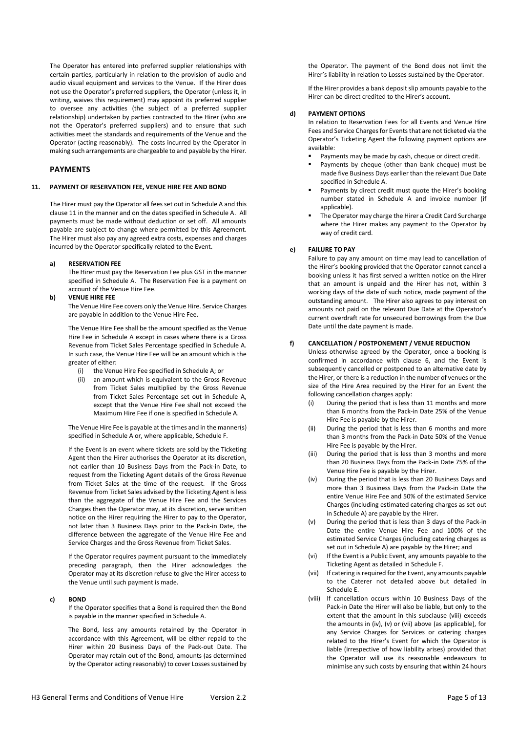The Operator has entered into preferred supplier relationships with certain parties, particularly in relation to the provision of audio and audio visual equipment and services to the Venue. If the Hirer does not use the Operator's preferred suppliers, the Operator (unless it, in writing, waives this requirement) may appoint its preferred supplier to oversee any activities (the subject of a preferred supplier relationship) undertaken by parties contracted to the Hirer (who are not the Operator's preferred suppliers) and to ensure that such activities meet the standards and requirements of the Venue and the Operator (acting reasonably). The costs incurred by the Operator in making such arrangements are chargeable to and payable by the Hirer.

## **PAYMENTS**

## **11. PAYMENT OF RESERVATION FEE, VENUE HIRE FEE AND BOND**

The Hirer must pay the Operator all fees set out in Schedule A and this clause 11 in the manner and on the dates specified in Schedule A. All payments must be made without deduction or set off. All amounts payable are subject to change where permitted by this Agreement. The Hirer must also pay any agreed extra costs, expenses and charges incurred by the Operator specifically related to the Event.

### **a) RESERVATION FEE**

The Hirer must pay the Reservation Fee plus GST in the manner specified in Schedule A. The Reservation Fee is a payment on account of the Venue Hire Fee.

# **b) VENUE HIRE FEE**

The Venue Hire Fee covers only the Venue Hire. Service Charges are payable in addition to the Venue Hire Fee.

The Venue Hire Fee shall be the amount specified as the Venue Hire Fee in Schedule A except in cases where there is a Gross Revenue from Ticket Sales Percentage specified in Schedule A. In such case, the Venue Hire Fee will be an amount which is the greater of either:

- (i) the Venue Hire Fee specified in Schedule A; or
- (ii) an amount which is equivalent to the Gross Revenue from Ticket Sales multiplied by the Gross Revenue from Ticket Sales Percentage set out in Schedule A, except that the Venue Hire Fee shall not exceed the Maximum Hire Fee if one is specified in Schedule A.

The Venue Hire Fee is payable at the times and in the manner(s) specified in Schedule A or, where applicable, Schedule F.

If the Event is an event where tickets are sold by the Ticketing Agent then the Hirer authorises the Operator at its discretion, not earlier than 10 Business Days from the Pack-in Date, to request from the Ticketing Agent details of the Gross Revenue from Ticket Sales at the time of the request. If the Gross Revenue from Ticket Sales advised by the Ticketing Agent is less than the aggregate of the Venue Hire Fee and the Services Charges then the Operator may, at its discretion, serve written notice on the Hirer requiring the Hirer to pay to the Operator, not later than 3 Business Days prior to the Pack-in Date, the difference between the aggregate of the Venue Hire Fee and Service Charges and the Gross Revenue from Ticket Sales.

If the Operator requires payment pursuant to the immediately preceding paragraph, then the Hirer acknowledges the Operator may at its discretion refuse to give the Hirer access to the Venue until such payment is made.

## **c) BOND**

If the Operator specifies that a Bond is required then the Bond is payable in the manner specified in Schedule A.

The Bond, less any amounts retained by the Operator in accordance with this Agreement, will be either repaid to the Hirer within 20 Business Days of the Pack-out Date. The Operator may retain out of the Bond, amounts (as determined by the Operator acting reasonably) to cover Losses sustained by

the Operator. The payment of the Bond does not limit the Hirer's liability in relation to Losses sustained by the Operator.

If the Hirer provides a bank deposit slip amounts payable to the Hirer can be direct credited to the Hirer's account.

#### **d) PAYMENT OPTIONS**

In relation to Reservation Fees for all Events and Venue Hire Fees and Service Charges for Events that are not ticketed via the Operator's Ticketing Agent the following payment options are available:

- Payments may be made by cash, cheque or direct credit.
- Payments by cheque (other than bank cheque) must be made five Business Days earlier than the relevant Due Date specified in Schedule A.
- Payments by direct credit must quote the Hirer's booking number stated in Schedule A and invoice number (if applicable).
- The Operator may charge the Hirer a Credit Card Surcharge where the Hirer makes any payment to the Operator by way of credit card.

## **e) FAILURE TO PAY**

Failure to pay any amount on time may lead to cancellation of the Hirer's booking provided that the Operator cannot cancel a booking unless it has first served a written notice on the Hirer that an amount is unpaid and the Hirer has not, within 3 working days of the date of such notice, made payment of the outstanding amount. The Hirer also agrees to pay interest on amounts not paid on the relevant Due Date at the Operator's current overdraft rate for unsecured borrowings from the Due Date until the date payment is made.

#### **f) CANCELLATION / POSTPONEMENT / VENUE REDUCTION**

Unless otherwise agreed by the Operator, once a booking is confirmed in accordance with clause 6, and the Event is subsequently cancelled or postponed to an alternative date by the Hirer, or there is a reduction in the number of venues or the size of the Hire Area required by the Hirer for an Event the following cancellation charges apply:

- (i) During the period that is less than 11 months and more than 6 months from the Pack-in Date 25% of the Venue Hire Fee is payable by the Hirer.
- (ii) During the period that is less than 6 months and more than 3 months from the Pack-in Date 50% of the Venue Hire Fee is payable by the Hirer.
- (iii) During the period that is less than 3 months and more than 20 Business Days from the Pack-in Date 75% of the Venue Hire Fee is payable by the Hirer.
- (iv) During the period that is less than 20 Business Days and more than 3 Business Days from the Pack-in Date the entire Venue Hire Fee and 50% of the estimated Service Charges (including estimated catering charges as set out in Schedule A) are payable by the Hirer.
- (v) During the period that is less than 3 days of the Pack-in Date the entire Venue Hire Fee and 100% of the estimated Service Charges (including catering charges as set out in Schedule A) are payable by the Hirer; and
- (vi) If the Event is a Public Event, any amounts payable to the Ticketing Agent as detailed in Schedule F.
- (vii) If catering is required for the Event, any amounts payable to the Caterer not detailed above but detailed in Schedule E.
- (viii) If cancellation occurs within 10 Business Days of the Pack-in Date the Hirer will also be liable, but only to the extent that the amount in this subclause (viii) exceeds the amounts in (iv), (v) or (vii) above (as applicable), for any Service Charges for Services or catering charges related to the Hirer's Event for which the Operator is liable (irrespective of how liability arises) provided that the Operator will use its reasonable endeavours to minimise any such costs by ensuring that within 24 hours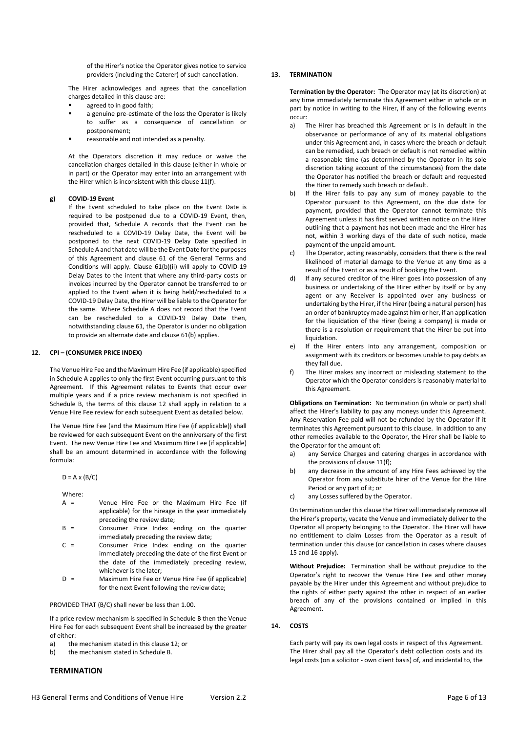of the Hirer's notice the Operator gives notice to service providers (including the Caterer) of such cancellation.

The Hirer acknowledges and agrees that the cancellation charges detailed in this clause are:

- agreed to in good faith;
- a genuine pre-estimate of the loss the Operator is likely to suffer as a consequence of cancellation or postponement;
- reasonable and not intended as a penalty.

At the Operators discretion it may reduce or waive the cancellation charges detailed in this clause (either in whole or in part) or the Operator may enter into an arrangement with the Hirer which is inconsistent with this clause 11(f).

#### **g) COVID-19 Event**

If the Event scheduled to take place on the Event Date is required to be postponed due to a COVID-19 Event, then, provided that, Schedule A records that the Event can be rescheduled to a COVID-19 Delay Date, the Event will be postponed to the next COVID-19 Delay Date specified in Schedule A and that date will be the Event Date for the purposes of this Agreement and clause 61 of the General Terms and Conditions will apply. Clause 61(b)(ii) will apply to COVID-19 Delay Dates to the intent that where any third-party costs or invoices incurred by the Operator cannot be transferred to or applied to the Event when it is being held/rescheduled to a COVID-19 Delay Date, the Hirer will be liable to the Operator for the same. Where Schedule A does not record that the Event can be rescheduled to a COVID-19 Delay Date then, notwithstanding clause 61, the Operator is under no obligation to provide an alternate date and clause 61(b) applies.

#### **12. CPI – (CONSUMER PRICE INDEX)**

The Venue Hire Fee and the Maximum Hire Fee (if applicable) specified in Schedule A applies to only the first Event occurring pursuant to this Agreement. If this Agreement relates to Events that occur over multiple years and if a price review mechanism is not specified in Schedule B, the terms of this clause 12 shall apply in relation to a Venue Hire Fee review for each subsequent Event as detailed below.

The Venue Hire Fee (and the Maximum Hire Fee (if applicable)) shall be reviewed for each subsequent Event on the anniversary of the first Event. The new Venue Hire Fee and Maximum Hire Fee (if applicable) shall be an amount determined in accordance with the following formula:

 $D = A \times (B/C)$ 

Where:

- A = Venue Hire Fee or the Maximum Hire Fee (if applicable) for the hireage in the year immediately preceding the review date;
- B = Consumer Price Index ending on the quarter immediately preceding the review date;
- C = Consumer Price Index ending on the quarter immediately preceding the date of the first Event or the date of the immediately preceding review, whichever is the later;
- D = Maximum Hire Fee or Venue Hire Fee (if applicable) for the next Event following the review date;

PROVIDED THAT (B/C) shall never be less than 1.00.

If a price review mechanism is specified in Schedule B then the Venue Hire Fee for each subsequent Event shall be increased by the greater of either:

- a) the mechanism stated in this clause 12; or
- b) the mechanism stated in Schedule B.

# **TERMINATION**

## **13. TERMINATION**

**Termination by the Operator:** The Operator may (at its discretion) at any time immediately terminate this Agreement either in whole or in part by notice in writing to the Hirer, if any of the following events occur:

- a) The Hirer has breached this Agreement or is in default in the observance or performance of any of its material obligations under this Agreement and, in cases where the breach or default can be remedied, such breach or default is not remedied within a reasonable time (as determined by the Operator in its sole discretion taking account of the circumstances) from the date the Operator has notified the breach or default and requested the Hirer to remedy such breach or default.
- b) If the Hirer fails to pay any sum of money payable to the Operator pursuant to this Agreement, on the due date for payment, provided that the Operator cannot terminate this Agreement unless it has first served written notice on the Hirer outlining that a payment has not been made and the Hirer has not, within 3 working days of the date of such notice, made payment of the unpaid amount.
- c) The Operator, acting reasonably, considers that there is the real likelihood of material damage to the Venue at any time as a result of the Event or as a result of booking the Event.
- d) If any secured creditor of the Hirer goes into possession of any business or undertaking of the Hirer either by itself or by any agent or any Receiver is appointed over any business or undertaking by the Hirer, if the Hirer (being a natural person) has an order of bankruptcy made against him or her, if an application for the liquidation of the Hirer (being a company) is made or there is a resolution or requirement that the Hirer be put into liquidation.
- e) If the Hirer enters into any arrangement, composition or assignment with its creditors or becomes unable to pay debts as they fall due.
- f) The Hirer makes any incorrect or misleading statement to the Operator which the Operator considers is reasonably material to this Agreement.

**Obligations on Termination:** No termination (in whole or part) shall affect the Hirer's liability to pay any moneys under this Agreement. Any Reservation Fee paid will not be refunded by the Operator if it terminates this Agreement pursuant to this clause. In addition to any other remedies available to the Operator, the Hirer shall be liable to the Operator for the amount of:

- a) any Service Charges and catering charges in accordance with the provisions of clause 11(f);
- b) any decrease in the amount of any Hire Fees achieved by the Operator from any substitute hirer of the Venue for the Hire Period or any part of it; or
- c) any Losses suffered by the Operator.

On termination under this clause the Hirer will immediately remove all the Hirer's property, vacate the Venue and immediately deliver to the Operator all property belonging to the Operator. The Hirer will have no entitlement to claim Losses from the Operator as a result of termination under this clause (or cancellation in cases where clauses 15 and 16 apply).

**Without Prejudice:** Termination shall be without prejudice to the Operator's right to recover the Venue Hire Fee and other money payable by the Hirer under this Agreement and without prejudice to the rights of either party against the other in respect of an earlier breach of any of the provisions contained or implied in this Agreement.

## **14. COSTS**

Each party will pay its own legal costs in respect of this Agreement. The Hirer shall pay all the Operator's debt collection costs and its legal costs (on a solicitor - own client basis) of, and incidental to, the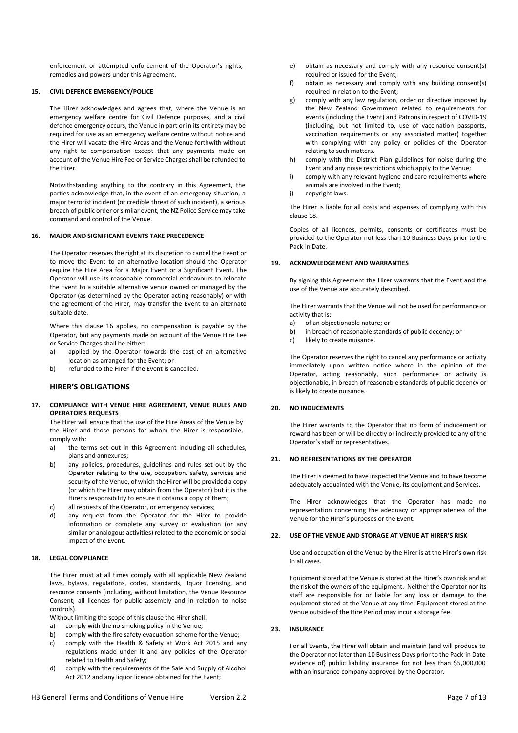enforcement or attempted enforcement of the Operator's rights, remedies and powers under this Agreement.

## **15. CIVIL DEFENCE EMERGENCY/POLICE**

The Hirer acknowledges and agrees that, where the Venue is an emergency welfare centre for Civil Defence purposes, and a civil defence emergency occurs, the Venue in part or in its entirety may be required for use as an emergency welfare centre without notice and the Hirer will vacate the Hire Areas and the Venue forthwith without any right to compensation except that any payments made on account of the Venue Hire Fee or Service Charges shall be refunded to the Hirer.

Notwithstanding anything to the contrary in this Agreement, the parties acknowledge that, in the event of an emergency situation, a major terrorist incident (or credible threat of such incident), a serious breach of public order or similar event, the NZ Police Service may take command and control of the Venue.

## **16. MAJOR AND SIGNIFICANT EVENTS TAKE PRECEDENCE**

The Operator reserves the right at its discretion to cancel the Event or to move the Event to an alternative location should the Operator require the Hire Area for a Major Event or a Significant Event. The Operator will use its reasonable commercial endeavours to relocate the Event to a suitable alternative venue owned or managed by the Operator (as determined by the Operator acting reasonably) or with the agreement of the Hirer, may transfer the Event to an alternate suitable date.

Where this clause 16 applies, no compensation is payable by the Operator, but any payments made on account of the Venue Hire Fee or Service Charges shall be either:

- a) applied by the Operator towards the cost of an alternative location as arranged for the Event; or
- b) refunded to the Hirer if the Event is cancelled.

## **HIRER'S OBLIGATIONS**

**17. COMPLIANCE WITH VENUE HIRE AGREEMENT, VENUE RULES AND OPERATOR'S REQUESTS**

The Hirer will ensure that the use of the Hire Areas of the Venue by the Hirer and those persons for whom the Hirer is responsible, comply with:

- a) the terms set out in this Agreement including all schedules, plans and annexures;
- b) any policies, procedures, guidelines and rules set out by the Operator relating to the use, occupation, safety, services and security of the Venue, of which the Hirer will be provided a copy (or which the Hirer may obtain from the Operator) but it is the Hirer's responsibility to ensure it obtains a copy of them;
- c) all requests of the Operator, or emergency services;
- d) any request from the Operator for the Hirer to provide information or complete any survey or evaluation (or any similar or analogous activities) related to the economic or social impact of the Event.

## **18. LEGAL COMPLIANCE**

The Hirer must at all times comply with all applicable New Zealand laws, bylaws, regulations, codes, standards, liquor licensing, and resource consents (including, without limitation, the Venue Resource Consent, all licences for public assembly and in relation to noise controls).

Without limiting the scope of this clause the Hirer shall:

- a) comply with the no smoking policy in the Venue:
- b) comply with the fire safety evacuation scheme for the Venue;
- c) comply with the Health & Safety at Work Act 2015 and any regulations made under it and any policies of the Operator related to Health and Safety;
- d) comply with the requirements of the Sale and Supply of Alcohol Act 2012 and any liquor licence obtained for the Event;
- e) obtain as necessary and comply with any resource consent(s) required or issued for the Event;
- f) obtain as necessary and comply with any building consent(s) required in relation to the Event;
- g) comply with any law regulation, order or directive imposed by the New Zealand Government related to requirements for events (including the Event) and Patrons in respect of COVID-19 (including, but not limited to, use of vaccination passports, vaccination requirements or any associated matter) together with complying with any policy or policies of the Operator relating to such matters.
- h) comply with the District Plan guidelines for noise during the Event and any noise restrictions which apply to the Venue;
- i) comply with any relevant hygiene and care requirements where animals are involved in the Event;
- i) copyright laws.

The Hirer is liable for all costs and expenses of complying with this clause 18.

Copies of all licences, permits, consents or certificates must be provided to the Operator not less than 10 Business Days prior to the Pack-in Date.

## **19. ACKNOWLEDGEMENT AND WARRANTIES**

By signing this Agreement the Hirer warrants that the Event and the use of the Venue are accurately described.

The Hirer warrants that the Venue will not be used for performance or activity that is:

- a) of an objectionable nature; or
- b) in breach of reasonable standards of public decency; or
- c) likely to create nuisance.

The Operator reserves the right to cancel any performance or activity immediately upon written notice where in the opinion of the Operator, acting reasonably, such performance or activity is objectionable, in breach of reasonable standards of public decency or is likely to create nuisance.

#### **20. NO INDUCEMENTS**

The Hirer warrants to the Operator that no form of inducement or reward has been or will be directly or indirectly provided to any of the Operator's staff or representatives.

#### **21. NO REPRESENTATIONS BY THE OPERATOR**

The Hirer is deemed to have inspected the Venue and to have become adequately acquainted with the Venue, its equipment and Services.

The Hirer acknowledges that the Operator has made no representation concerning the adequacy or appropriateness of the Venue for the Hirer's purposes or the Event.

#### **22. USE OF THE VENUE AND STORAGE AT VENUE AT HIRER'S RISK**

Use and occupation of the Venue by the Hirer is at the Hirer's own risk in all cases.

Equipment stored at the Venue is stored at the Hirer's own risk and at the risk of the owners of the equipment. Neither the Operator nor its staff are responsible for or liable for any loss or damage to the equipment stored at the Venue at any time. Equipment stored at the Venue outside of the Hire Period may incur a storage fee.

#### **23. INSURANCE**

For all Events, the Hirer will obtain and maintain (and will produce to the Operator not later than 10 Business Days prior to the Pack-in Date evidence of) public liability insurance for not less than \$5,000,000 with an insurance company approved by the Operator.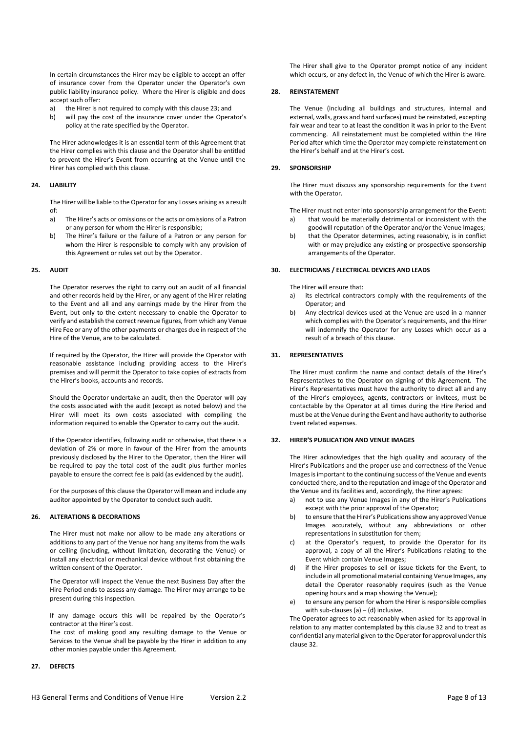In certain circumstances the Hirer may be eligible to accept an offer of insurance cover from the Operator under the Operator's own public liability insurance policy. Where the Hirer is eligible and does accept such offer:

- a) the Hirer is not required to comply with this clause 23; and
- b) will pay the cost of the insurance cover under the Operator's policy at the rate specified by the Operator.

The Hirer acknowledges it is an essential term of this Agreement that the Hirer complies with this clause and the Operator shall be entitled to prevent the Hirer's Event from occurring at the Venue until the Hirer has complied with this clause.

#### **24. LIABILITY**

The Hirer will be liable to the Operator for any Losses arising as a result of:

- a) The Hirer's acts or omissions or the acts or omissions of a Patron or any person for whom the Hirer is responsible;
- b) The Hirer's failure or the failure of a Patron or any person for whom the Hirer is responsible to comply with any provision of this Agreement or rules set out by the Operator.

#### **25. AUDIT**

The Operator reserves the right to carry out an audit of all financial and other records held by the Hirer, or any agent of the Hirer relating to the Event and all and any earnings made by the Hirer from the Event, but only to the extent necessary to enable the Operator to verify and establish the correct revenue figures, from which any Venue Hire Fee or any of the other payments or charges due in respect of the Hire of the Venue, are to be calculated.

If required by the Operator, the Hirer will provide the Operator with reasonable assistance including providing access to the Hirer's premises and will permit the Operator to take copies of extracts from the Hirer's books, accounts and records.

Should the Operator undertake an audit, then the Operator will pay the costs associated with the audit (except as noted below) and the Hirer will meet its own costs associated with compiling the information required to enable the Operator to carry out the audit.

If the Operator identifies, following audit or otherwise, that there is a deviation of 2% or more in favour of the Hirer from the amounts previously disclosed by the Hirer to the Operator, then the Hirer will be required to pay the total cost of the audit plus further monies payable to ensure the correct fee is paid (as evidenced by the audit).

For the purposes of this clause the Operator will mean and include any auditor appointed by the Operator to conduct such audit.

#### **26. ALTERATIONS & DECORATIONS**

The Hirer must not make nor allow to be made any alterations or additions to any part of the Venue nor hang any items from the walls or ceiling (including, without limitation, decorating the Venue) or install any electrical or mechanical device without first obtaining the written consent of the Operator.

The Operator will inspect the Venue the next Business Day after the Hire Period ends to assess any damage. The Hirer may arrange to be present during this inspection.

If any damage occurs this will be repaired by the Operator's contractor at the Hirer's cost.

The cost of making good any resulting damage to the Venue or Services to the Venue shall be payable by the Hirer in addition to any other monies payable under this Agreement.

#### **27. DEFECTS**

The Hirer shall give to the Operator prompt notice of any incident which occurs, or any defect in, the Venue of which the Hirer is aware.

#### **28. REINSTATEMENT**

The Venue (including all buildings and structures, internal and external, walls, grass and hard surfaces) must be reinstated, excepting fair wear and tear to at least the condition it was in prior to the Event commencing. All reinstatement must be completed within the Hire Period after which time the Operator may complete reinstatement on the Hirer's behalf and at the Hirer's cost.

#### **29. SPONSORSHIP**

The Hirer must discuss any sponsorship requirements for the Event with the Operator.

The Hirer must not enter into sponsorship arrangement for the Event: a) that would be materially detrimental or inconsistent with the

- goodwill reputation of the Operator and/or the Venue Images; b) that the Operator determines, acting reasonably, is in conflict
- with or may prejudice any existing or prospective sponsorship arrangements of the Operator.

#### **30. ELECTRICIANS / ELECTRICAL DEVICES AND LEADS**

The Hirer will ensure that:

- a) its electrical contractors comply with the requirements of the Operator; and
- b) Any electrical devices used at the Venue are used in a manner which complies with the Operator's requirements, and the Hirer will indemnify the Operator for any Losses which occur as a result of a breach of this clause.

#### **31. REPRESENTATIVES**

The Hirer must confirm the name and contact details of the Hirer's Representatives to the Operator on signing of this Agreement. The Hirer's Representatives must have the authority to direct all and any of the Hirer's employees, agents, contractors or invitees, must be contactable by the Operator at all times during the Hire Period and must be at the Venue during the Event and have authority to authorise Event related expenses.

#### **32. HIRER'S PUBLICATION AND VENUE IMAGES**

The Hirer acknowledges that the high quality and accuracy of the Hirer's Publications and the proper use and correctness of the Venue Images is important to the continuing success of the Venue and events conducted there, and to the reputation and image of the Operator and the Venue and its facilities and, accordingly, the Hirer agrees:

- a) not to use any Venue Images in any of the Hirer's Publications except with the prior approval of the Operator;
- b) to ensure that the Hirer's Publications show any approved Venue Images accurately, without any abbreviations or other representations in substitution for them;
- c) at the Operator's request, to provide the Operator for its approval, a copy of all the Hirer's Publications relating to the Event which contain Venue Images;
- d) if the Hirer proposes to sell or issue tickets for the Event, to include in all promotional material containing Venue Images, any detail the Operator reasonably requires (such as the Venue opening hours and a map showing the Venue);
- e) to ensure any person for whom the Hirer is responsible complies with sub-clauses (a)  $-$  (d) inclusive.

The Operator agrees to act reasonably when asked for its approval in relation to any matter contemplated by this clause 32 and to treat as confidential any material given to the Operator for approval under this clause 32.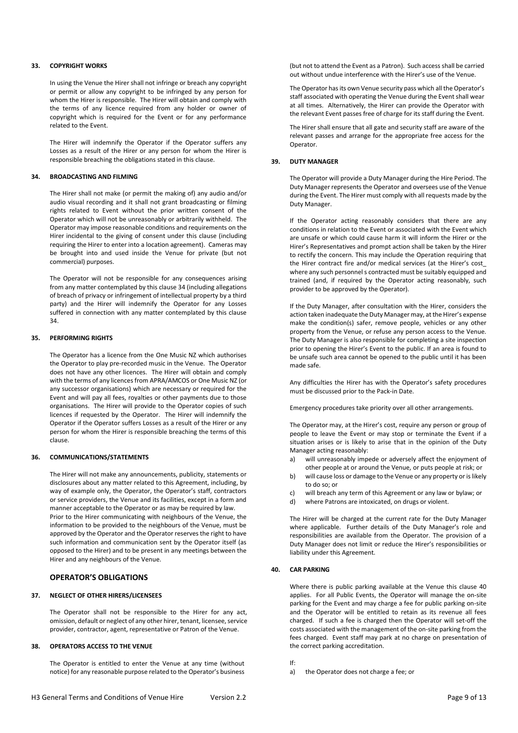### **33. COPYRIGHT WORKS**

In using the Venue the Hirer shall not infringe or breach any copyright or permit or allow any copyright to be infringed by any person for whom the Hirer is responsible. The Hirer will obtain and comply with the terms of any licence required from any holder or owner of copyright which is required for the Event or for any performance related to the Event.

The Hirer will indemnify the Operator if the Operator suffers any Losses as a result of the Hirer or any person for whom the Hirer is responsible breaching the obligations stated in this clause.

## **34. BROADCASTING AND FILMING**

The Hirer shall not make (or permit the making of) any audio and/or audio visual recording and it shall not grant broadcasting or filming rights related to Event without the prior written consent of the Operator which will not be unreasonably or arbitrarily withheld. The Operator may impose reasonable conditions and requirements on the Hirer incidental to the giving of consent under this clause (including requiring the Hirer to enter into a location agreement). Cameras may be brought into and used inside the Venue for private (but not commercial) purposes.

The Operator will not be responsible for any consequences arising from any matter contemplated by this clause 34 (including allegations of breach of privacy or infringement of intellectual property by a third party) and the Hirer will indemnify the Operator for any Losses suffered in connection with any matter contemplated by this clause 34.

## **35. PERFORMING RIGHTS**

The Operator has a licence from the One Music NZ which authorises the Operator to play pre-recorded music in the Venue. The Operator does not have any other licences. The Hirer will obtain and comply with the terms of any licences from APRA/AMCOS or One Music NZ (or any successor organisations) which are necessary or required for the Event and will pay all fees, royalties or other payments due to those organisations. The Hirer will provide to the Operator copies of such licences if requested by the Operator. The Hirer will indemnify the Operator if the Operator suffers Losses as a result of the Hirer or any person for whom the Hirer is responsible breaching the terms of this clause.

#### **36. COMMUNICATIONS/STATEMENTS**

The Hirer will not make any announcements, publicity, statements or disclosures about any matter related to this Agreement, including, by way of example only, the Operator, the Operator's staff, contractors or service providers, the Venue and its facilities, except in a form and manner acceptable to the Operator or as may be required by law.

Prior to the Hirer communicating with neighbours of the Venue, the information to be provided to the neighbours of the Venue, must be approved by the Operator and the Operator reserves the right to have such information and communication sent by the Operator itself (as opposed to the Hirer) and to be present in any meetings between the Hirer and any neighbours of the Venue.

# **OPERATOR'S OBLIGATIONS**

#### **37. NEGLECT OF OTHER HIRERS/LICENSEES**

The Operator shall not be responsible to the Hirer for any act, omission, default or neglect of any other hirer, tenant, licensee, service provider, contractor, agent, representative or Patron of the Venue.

## **38. OPERATORS ACCESS TO THE VENUE**

The Operator is entitled to enter the Venue at any time (without notice) for any reasonable purpose related to the Operator's business (but not to attend the Event as a Patron). Such access shall be carried out without undue interference with the Hirer's use of the Venue.

The Operator has its own Venue security pass which all the Operator's staff associated with operating the Venue during the Event shall wear at all times. Alternatively, the Hirer can provide the Operator with the relevant Event passes free of charge for its staff during the Event.

The Hirer shall ensure that all gate and security staff are aware of the relevant passes and arrange for the appropriate free access for the Operator.

#### **39. DUTY MANAGER**

The Operator will provide a Duty Manager during the Hire Period. The Duty Manager represents the Operator and oversees use of the Venue during the Event. The Hirer must comply with all requests made by the Duty Manager.

If the Operator acting reasonably considers that there are any conditions in relation to the Event or associated with the Event which are unsafe or which could cause harm it will inform the Hirer or the Hirer's Representatives and prompt action shall be taken by the Hirer to rectify the concern. This may include the Operation requiring that the Hirer contract fire and/or medical services (at the Hirer's cost\_ where any such personnel s contracted must be suitably equipped and trained (and, if required by the Operator acting reasonably, such provider to be approved by the Operator).

If the Duty Manager, after consultation with the Hirer, considers the action taken inadequate the Duty Manager may, at the Hirer's expense make the condition(s) safer, remove people, vehicles or any other property from the Venue, or refuse any person access to the Venue. The Duty Manager is also responsible for completing a site inspection prior to opening the Hirer's Event to the public. If an area is found to be unsafe such area cannot be opened to the public until it has been made safe.

Any difficulties the Hirer has with the Operator's safety procedures must be discussed prior to the Pack-in Date.

Emergency procedures take priority over all other arrangements.

The Operator may, at the Hirer's cost, require any person or group of people to leave the Event or may stop or terminate the Event if a situation arises or is likely to arise that in the opinion of the Duty Manager acting reasonably:

- a) will unreasonably impede or adversely affect the enjoyment of other people at or around the Venue, or puts people at risk; or
- b) will cause loss or damage to the Venue or any property or is likely to do so; or
- c) will breach any term of this Agreement or any law or bylaw; or
- d) where Patrons are intoxicated, on drugs or violent.

The Hirer will be charged at the current rate for the Duty Manager where applicable. Further details of the Duty Manager's role and responsibilities are available from the Operator. The provision of a Duty Manager does not limit or reduce the Hirer's responsibilities or liability under this Agreement.

## **40. CAR PARKING**

Where there is public parking available at the Venue this clause 40 applies. For all Public Events, the Operator will manage the on-site parking for the Event and may charge a fee for public parking on-site and the Operator will be entitled to retain as its revenue all fees charged. If such a fee is charged then the Operator will set-off the costs associated with the management of the on-site parking from the fees charged. Event staff may park at no charge on presentation of the correct parking accreditation.

If:

a) the Operator does not charge a fee; or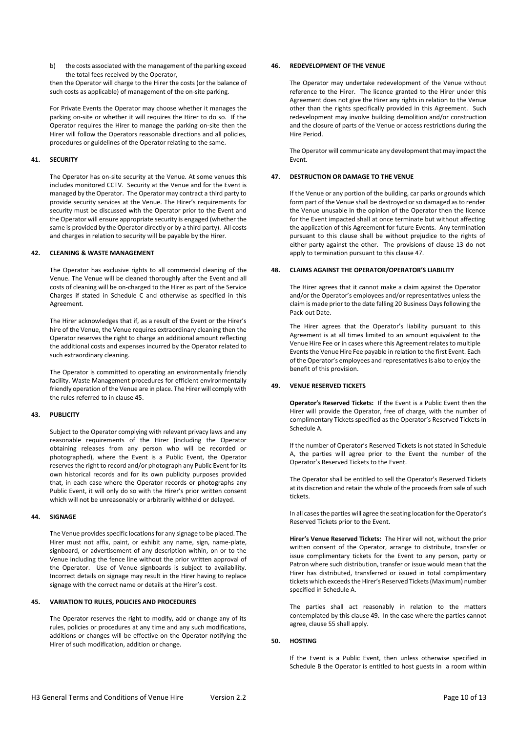b) the costs associated with the management of the parking exceed the total fees received by the Operator,

then the Operator will charge to the Hirer the costs (or the balance of such costs as applicable) of management of the on-site parking.

For Private Events the Operator may choose whether it manages the parking on-site or whether it will requires the Hirer to do so. If the Operator requires the Hirer to manage the parking on-site then the Hirer will follow the Operators reasonable directions and all policies, procedures or guidelines of the Operator relating to the same.

## **41. SECURITY**

The Operator has on-site security at the Venue. At some venues this includes monitored CCTV. Security at the Venue and for the Event is managed by the Operator. The Operator may contract a third party to provide security services at the Venue. The Hirer's requirements for security must be discussed with the Operator prior to the Event and the Operator will ensure appropriate security is engaged (whether the same is provided by the Operator directly or by a third party). All costs and charges in relation to security will be payable by the Hirer.

## **42. CLEANING & WASTE MANAGEMENT**

The Operator has exclusive rights to all commercial cleaning of the Venue. The Venue will be cleaned thoroughly after the Event and all costs of cleaning will be on-charged to the Hirer as part of the Service Charges if stated in Schedule C and otherwise as specified in this Agreement.

The Hirer acknowledges that if, as a result of the Event or the Hirer's hire of the Venue, the Venue requires extraordinary cleaning then the Operator reserves the right to charge an additional amount reflecting the additional costs and expenses incurred by the Operator related to such extraordinary cleaning.

The Operator is committed to operating an environmentally friendly facility. Waste Management procedures for efficient environmentally friendly operation of the Venue are in place. The Hirer will comply with the rules referred to in clause 45.

## **43. PUBLICITY**

Subject to the Operator complying with relevant privacy laws and any reasonable requirements of the Hirer (including the Operator obtaining releases from any person who will be recorded or photographed), where the Event is a Public Event, the Operator reserves the right to record and/or photograph any Public Event for its own historical records and for its own publicity purposes provided that, in each case where the Operator records or photographs any Public Event, it will only do so with the Hirer's prior written consent which will not be unreasonably or arbitrarily withheld or delayed.

#### **44. SIGNAGE**

The Venue provides specific locations for any signage to be placed. The Hirer must not affix, paint, or exhibit any name, sign, name-plate, signboard, or advertisement of any description within, on or to the Venue including the fence line without the prior written approval of the Operator. Use of Venue signboards is subject to availability. Incorrect details on signage may result in the Hirer having to replace signage with the correct name or details at the Hirer's cost.

#### **45. VARIATION TO RULES, POLICIES AND PROCEDURES**

The Operator reserves the right to modify, add or change any of its rules, policies or procedures at any time and any such modifications, additions or changes will be effective on the Operator notifying the Hirer of such modification, addition or change.

## **46. REDEVELOPMENT OF THE VENUE**

The Operator may undertake redevelopment of the Venue without reference to the Hirer. The licence granted to the Hirer under this Agreement does not give the Hirer any rights in relation to the Venue other than the rights specifically provided in this Agreement. Such redevelopment may involve building demolition and/or construction and the closure of parts of the Venue or access restrictions during the Hire Period.

The Operator will communicate any development that may impact the Event.

## **47. DESTRUCTION OR DAMAGE TO THE VENUE**

If the Venue or any portion of the building, car parks or grounds which form part of the Venue shall be destroyed or so damaged as to render the Venue unusable in the opinion of the Operator then the licence for the Event impacted shall at once terminate but without affecting the application of this Agreement for future Events. Any termination pursuant to this clause shall be without prejudice to the rights of either party against the other. The provisions of clause 13 do not apply to termination pursuant to this clause 47.

#### **48. CLAIMS AGAINST THE OPERATOR/OPERATOR'S LIABILITY**

The Hirer agrees that it cannot make a claim against the Operator and/or the Operator's employees and/or representatives unless the claim is made prior to the date falling 20 Business Days following the Pack-out Date.

The Hirer agrees that the Operator's liability pursuant to this Agreement is at all times limited to an amount equivalent to the Venue Hire Fee or in cases where this Agreement relates to multiple Events the Venue Hire Fee payable in relation to the first Event. Each of the Operator's employees and representatives is also to enjoy the benefit of this provision.

## **49. VENUE RESERVED TICKETS**

**Operator's Reserved Tickets:** If the Event is a Public Event then the Hirer will provide the Operator, free of charge, with the number of complimentary Tickets specified as the Operator's Reserved Tickets in Schedule A.

If the number of Operator's Reserved Tickets is not stated in Schedule A, the parties will agree prior to the Event the number of the Operator's Reserved Tickets to the Event.

The Operator shall be entitled to sell the Operator's Reserved Tickets at its discretion and retain the whole of the proceeds from sale of such tickets.

In all cases the parties will agree the seating location for the Operator's Reserved Tickets prior to the Event.

**Hirer's Venue Reserved Tickets:** The Hirer will not, without the prior written consent of the Operator, arrange to distribute, transfer or issue complimentary tickets for the Event to any person, party or Patron where such distribution, transfer or issue would mean that the Hirer has distributed, transferred or issued in total complimentary tickets which exceeds the Hirer's Reserved Tickets (Maximum) number specified in Schedule A.

The parties shall act reasonably in relation to the matters contemplated by this clause 49. In the case where the parties cannot agree, clause 55 shall apply.

## **50. HOSTING**

If the Event is a Public Event, then unless otherwise specified in Schedule B the Operator is entitled to host guests in a room within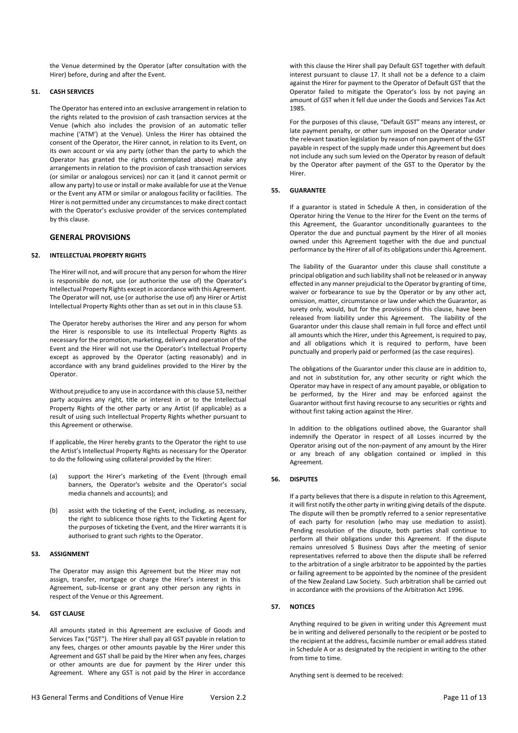the Venue determined by the Operator (after consultation with the Hirer) before, during and after the Event.

# **51. CASH SERVICES**

The Operator has entered into an exclusive arrangement in relation to the rights related to the provision of cash transaction services at the Venue (which also includes the provision of an automatic teller machine ('ATM') at the Venue). Unless the Hirer has obtained the consent of the Operator, the Hirer cannot, in relation to its Event, on its own account or via any party (other than the party to which the Operator has granted the rights contemplated above) make any arrangements in relation to the provision of cash transaction services (or similar or analogous services) nor can it (and it cannot permit or allow any party) to use or install or make available for use at the Venue or the Event any ATM or similar or analogous facility or facilities. The Hirer is not permitted under any circumstances to make direct contact with the Operator's exclusive provider of the services contemplated by this clause.

# **GENERAL PROVISIONS**

## **52. INTELLECTUAL PROPERTY RIGHTS**

The Hirer will not, and will procure that any person for whom the Hirer is responsible do not, use (or authorise the use of) the Operator's Intellectual Property Rights except in accordance with this Agreement. The Operator will not, use (or authorise the use of) any Hirer or Artist Intellectual Property Rights other than as set out in in this clause 53.

The Operator hereby authorises the Hirer and any person for whom the Hirer is responsible to use its Intellectual Property Rights as necessary for the promotion, marketing, delivery and operation of the Event and the Hirer will not use the Operator's Intellectual Property except as approved by the Operator (acting reasonably) and in accordance with any brand guidelines provided to the Hirer by the Operator.

Without prejudice to any use in accordance with this clause 53, neither party acquires any right, title or interest in or to the Intellectual Property Rights of the other party or any Artist (if applicable) as a result of using such Intellectual Property Rights whether pursuant to this Agreement or otherwise.

If applicable, the Hirer hereby grants to the Operator the right to use the Artist's Intellectual Property Rights as necessary for the Operator to do the following using collateral provided by the Hirer:

- (a) support the Hirer's marketing of the Event (through email banners, the Operator's website and the Operator's social media channels and accounts); and
- (b) assist with the ticketing of the Event, including, as necessary, the right to sublicence those rights to the Ticketing Agent for the purposes of ticketing the Event, and the Hirer warrants it is authorised to grant such rights to the Operator.

## **53. ASSIGNMENT**

The Operator may assign this Agreement but the Hirer may not assign, transfer, mortgage or charge the Hirer's interest in this Agreement, sub-license or grant any other person any rights in respect of the Venue or this Agreement.

# **54. GST CLAUSE**

All amounts stated in this Agreement are exclusive of Goods and Services Tax ("GST"). The Hirer shall pay all GST payable in relation to any fees, charges or other amounts payable by the Hirer under this Agreement and GST shall be paid by the Hirer when any fees, charges or other amounts are due for payment by the Hirer under this Agreement. Where any GST is not paid by the Hirer in accordance

with this clause the Hirer shall pay Default GST together with default interest pursuant to clause 17. It shall not be a defence to a claim against the Hirer for payment to the Operator of Default GST that the Operator failed to mitigate the Operator's loss by not paying an amount of GST when it fell due under the Goods and Services Tax Act 1985.

For the purposes of this clause, "Default GST" means any interest, or late payment penalty, or other sum imposed on the Operator under the relevant taxation legislation by reason of non payment of the GST payable in respect of the supply made under this Agreement but does not include any such sum levied on the Operator by reason of default by the Operator after payment of the GST to the Operator by the Hirer.

## **55. GUARANTEE**

If a guarantor is stated in Schedule A then, in consideration of the Operator hiring the Venue to the Hirer for the Event on the terms of this Agreement, the Guarantor unconditionally guarantees to the Operator the due and punctual payment by the Hirer of all monies owned under this Agreement together with the due and punctual performance by the Hirer of all of its obligations under this Agreement.

The liability of the Guarantor under this clause shall constitute a principal obligation and such liability shall not be released or in anyway effected in any manner prejudicial to the Operator by granting of time, waiver or forbearance to sue by the Operator or by any other act, omission, matter, circumstance or law under which the Guarantor, as surety only, would, but for the provisions of this clause, have been released from liability under this Agreement. The liability of the Guarantor under this clause shall remain in full force and effect until all amounts which the Hirer, under this Agreement, is required to pay, and all obligations which it is required to perform, have been punctually and properly paid or performed (as the case requires).

The obligations of the Guarantor under this clause are in addition to, and not in substitution for, any other security or right which the Operator may have in respect of any amount payable, or obligation to be performed, by the Hirer and may be enforced against the Guarantor without first having recourse to any securities or rights and without first taking action against the Hirer.

In addition to the obligations outlined above, the Guarantor shall indemnify the Operator in respect of all Losses incurred by the Operator arising out of the non-payment of any amount by the Hirer or any breach of any obligation contained or implied in this Agreement.

## **56. DISPUTES**

If a party believes that there is a dispute in relation to this Agreement, it will first notify the other party in writing giving details of the dispute. The dispute will then be promptly referred to a senior representative of each party for resolution (who may use mediation to assist). Pending resolution of the dispute, both parties shall continue to perform all their obligations under this Agreement. If the dispute remains unresolved 5 Business Days after the meeting of senior representatives referred to above then the dispute shall be referred to the arbitration of a single arbitrator to be appointed by the parties or failing agreement to be appointed by the nominee of the president of the New Zealand Law Society. Such arbitration shall be carried out in accordance with the provisions of the Arbitration Act 1996.

## **57. NOTICES**

Anything required to be given in writing under this Agreement must be in writing and delivered personally to the recipient or be posted to the recipient at the address, facsimile number or email address stated in Schedule A or as designated by the recipient in writing to the other from time to time.

Anything sent is deemed to be received: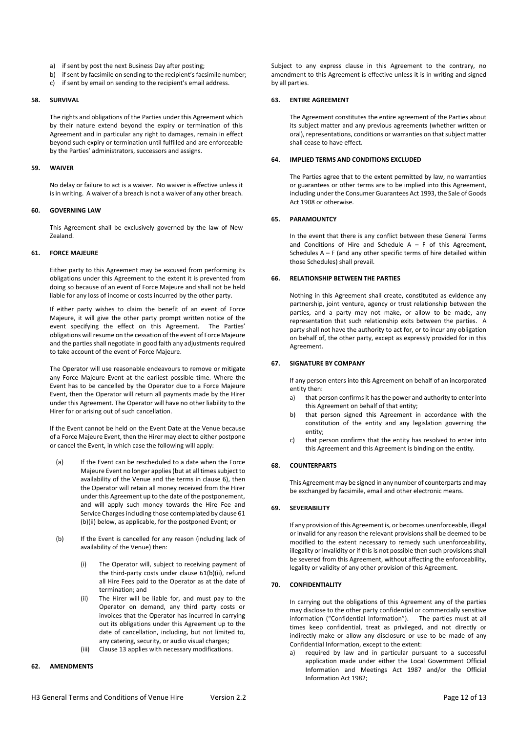- a) if sent by post the next Business Day after posting;
- b) if sent by facsimile on sending to the recipient's facsimile number;
- c) if sent by email on sending to the recipient's email address.

#### **58. SURVIVAL**

The rights and obligations of the Parties under this Agreement which by their nature extend beyond the expiry or termination of this Agreement and in particular any right to damages, remain in effect beyond such expiry or termination until fulfilled and are enforceable by the Parties' administrators, successors and assigns.

#### **59. WAIVER**

No delay or failure to act is a waiver. No waiver is effective unless it is in writing. A waiver of a breach is not a waiver of any other breach.

#### **60. GOVERNING LAW**

This Agreement shall be exclusively governed by the law of New Zealand.

#### **61. FORCE MAJEURE**

Either party to this Agreement may be excused from performing its obligations under this Agreement to the extent it is prevented from doing so because of an event of Force Majeure and shall not be held liable for any loss of income or costs incurred by the other party.

If either party wishes to claim the benefit of an event of Force Majeure, it will give the other party prompt written notice of the event specifying the effect on this Agreement. The Parties' obligations will resume on the cessation of the event of Force Majeure and the parties shall negotiate in good faith any adjustments required to take account of the event of Force Majeure.

The Operator will use reasonable endeavours to remove or mitigate any Force Majeure Event at the earliest possible time. Where the Event has to be cancelled by the Operator due to a Force Majeure Event, then the Operator will return all payments made by the Hirer under this Agreement. The Operator will have no other liability to the Hirer for or arising out of such cancellation.

If the Event cannot be held on the Event Date at the Venue because of a Force Majeure Event, then the Hirer may elect to either postpone or cancel the Event, in which case the following will apply:

- (a) If the Event can be rescheduled to a date when the Force Majeure Event no longer applies (but at all times subject to availability of the Venue and the terms in clause 6), then the Operator will retain all money received from the Hirer under this Agreement up to the date of the postponement, and will apply such money towards the Hire Fee and Service Charges including those contemplated by clause 61 (b)(ii) below, as applicable, for the postponed Event; or
- (b) If the Event is cancelled for any reason (including lack of availability of the Venue) then:
	- (i) The Operator will, subject to receiving payment of the third-party costs under clause 61(b)(ii), refund all Hire Fees paid to the Operator as at the date of termination; and
	- (ii) The Hirer will be liable for, and must pay to the Operator on demand, any third party costs or invoices that the Operator has incurred in carrying out its obligations under this Agreement up to the date of cancellation, including, but not limited to, any catering, security, or audio visual charges;
	- (iii) Clause 13 applies with necessary modifications.

## **62. AMENDMENTS**

Subject to any express clause in this Agreement to the contrary, no amendment to this Agreement is effective unless it is in writing and signed by all parties.

### **63. ENTIRE AGREEMENT**

The Agreement constitutes the entire agreement of the Parties about its subject matter and any previous agreements (whether written or oral), representations, conditions or warranties on that subject matter shall cease to have effect.

## **64. IMPLIED TERMS AND CONDITIONS EXCLUDED**

The Parties agree that to the extent permitted by law, no warranties or guarantees or other terms are to be implied into this Agreement, including under the Consumer Guarantees Act 1993, the Sale of Goods Act 1908 or otherwise.

## **65. PARAMOUNTCY**

In the event that there is any conflict between these General Terms and Conditions of Hire and Schedule  $A - F$  of this Agreement. Schedules  $A - F$  (and any other specific terms of hire detailed within those Schedules) shall prevail.

#### **66. RELATIONSHIP BETWEEN THE PARTIES**

Nothing in this Agreement shall create, constituted as evidence any partnership, joint venture, agency or trust relationship between the parties, and a party may not make, or allow to be made, any representation that such relationship exits between the parties. A party shall not have the authority to act for, or to incur any obligation on behalf of, the other party, except as expressly provided for in this Agreement.

## **67. SIGNATURE BY COMPANY**

If any person enters into this Agreement on behalf of an incorporated entity then:

- a) that person confirms it has the power and authority to enter into this Agreement on behalf of that entity;
- b) that person signed this Agreement in accordance with the constitution of the entity and any legislation governing the entity;
- c) that person confirms that the entity has resolved to enter into this Agreement and this Agreement is binding on the entity.

## **68. COUNTERPARTS**

This Agreement may be signed in any number of counterparts and may be exchanged by facsimile, email and other electronic means.

## **69. SEVERABILITY**

If any provision of this Agreement is, or becomes unenforceable, illegal or invalid for any reason the relevant provisions shall be deemed to be modified to the extent necessary to remedy such unenforceability, illegality or invalidity or if this is not possible then such provisions shall be severed from this Agreement, without affecting the enforceability, legality or validity of any other provision of this Agreement.

## **70. CONFIDENTIALITY**

In carrying out the obligations of this Agreement any of the parties may disclose to the other party confidential or commercially sensitive information ("Confidential Information"). The parties must at all times keep confidential, treat as privileged, and not directly or indirectly make or allow any disclosure or use to be made of any Confidential Information, except to the extent:

a) required by law and in particular pursuant to a successful application made under either the Local Government Official Information and Meetings Act 1987 and/or the Official Information Act 1982;